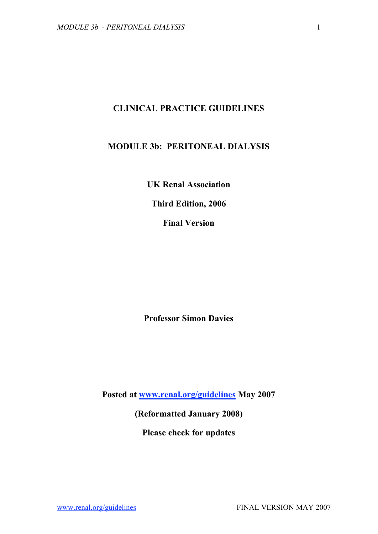# **CLINICAL PRACTICE GUIDELINES**

# **MODULE 3b: PERITONEAL DIALYSIS**

**UK Renal Association**

**Third Edition, 2006**

**Final Version**

**Professor Simon Davies**

**Posted at www.renal.org/guidelines May 2007**

**(Reformatted January 2008)**

**Please check for updates**

www.renal.org/guidelines FINAL VERSION MAY 2007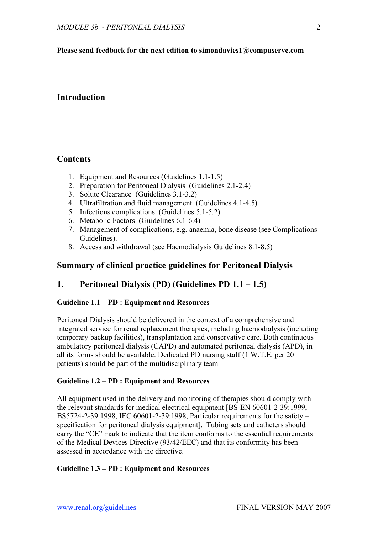# **Please send feedback for the next edition to simondavies1@compuserve.com**

# **Introduction**

# **Contents**

- 1. Equipment and Resources (Guidelines 1.1-1.5)
- 2. Preparation for Peritoneal Dialysis (Guidelines 2.1-2.4)
- 3. Solute Clearance (Guidelines 3.1-3.2)
- 4. Ultrafiltration and fluid management (Guidelines 4.1-4.5)
- 5. Infectious complications (Guidelines 5.1-5.2)
- 6. Metabolic Factors (Guidelines 6.1-6.4)
- 7. Management of complications, e.g. anaemia, bone disease (see Complications Guidelines).
- 8. Access and withdrawal (see Haemodialysis Guidelines 8.1-8.5)

# **Summary of clinical practice guidelines for Peritoneal Dialysis**

# **1. Peritoneal Dialysis (PD) (Guidelines PD 1.1 – 1.5)**

# **Guideline 1.1 – PD : Equipment and Resources**

Peritoneal Dialysis should be delivered in the context of a comprehensive and integrated service for renal replacement therapies, including haemodialysis (including temporary backup facilities), transplantation and conservative care. Both continuous ambulatory peritoneal dialysis (CAPD) and automated peritoneal dialysis (APD), in all its forms should be available. Dedicated PD nursing staff (1 W.T.E. per 20 patients) should be part of the multidisciplinary team

# **Guideline 1.2 – PD : Equipment and Resources**

All equipment used in the delivery and monitoring of therapies should comply with the relevant standards for medical electrical equipment [BS-EN 60601-2-39:1999, BS5724-2-39:1998, IEC 60601-2-39:1998, Particular requirements for the safety – specification for peritoneal dialysis equipment]. Tubing sets and catheters should carry the "CE" mark to indicate that the item conforms to the essential requirements of the Medical Devices Directive (93/42/EEC) and that its conformity has been assessed in accordance with the directive.

# **Guideline 1.3 – PD : Equipment and Resources**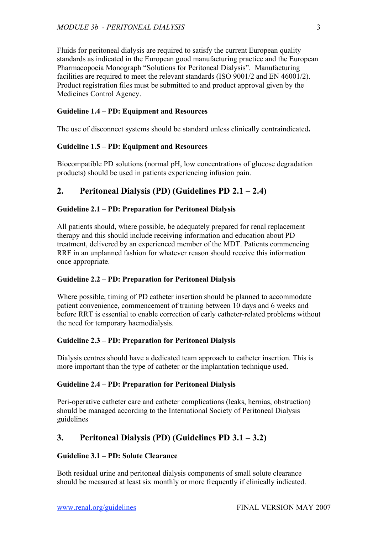Fluids for peritoneal dialysis are required to satisfy the current European quality standards as indicated in the European good manufacturing practice and the European Pharmacopoeia Monograph "Solutions for Peritoneal Dialysis". Manufacturing facilities are required to meet the relevant standards (ISO 9001/2 and EN 46001/2). Product registration files must be submitted to and product approval given by the Medicines Control Agency.

# **Guideline 1.4 – PD: Equipment and Resources**

The use of disconnect systems should be standard unless clinically contraindicated**.**

# **Guideline 1.5 – PD: Equipment and Resources**

Biocompatible PD solutions (normal pH, low concentrations of glucose degradation products) should be used in patients experiencing infusion pain.

# **2. Peritoneal Dialysis (PD) (Guidelines PD 2.1 – 2.4)**

# **Guideline 2.1 – PD: Preparation for Peritoneal Dialysis**

All patients should, where possible, be adequately prepared for renal replacement therapy and this should include receiving information and education about PD treatment, delivered by an experienced member of the MDT. Patients commencing RRF in an unplanned fashion for whatever reason should receive this information once appropriate.

# **Guideline 2.2 – PD: Preparation for Peritoneal Dialysis**

Where possible, timing of PD catheter insertion should be planned to accommodate patient convenience, commencement of training between 10 days and 6 weeks and before RRT is essential to enable correction of early catheter-related problems without the need for temporary haemodialysis.

#### **Guideline 2.3 – PD: Preparation for Peritoneal Dialysis**

Dialysis centres should have a dedicated team approach to catheter insertion. This is more important than the type of catheter or the implantation technique used.

#### **Guideline 2.4 – PD: Preparation for Peritoneal Dialysis**

Peri-operative catheter care and catheter complications (leaks, hernias, obstruction) should be managed according to the International Society of Peritoneal Dialysis guidelines

# **3. Peritoneal Dialysis (PD) (Guidelines PD 3.1 – 3.2)**

## **Guideline 3.1 – PD: Solute Clearance**

Both residual urine and peritoneal dialysis components of small solute clearance should be measured at least six monthly or more frequently if clinically indicated.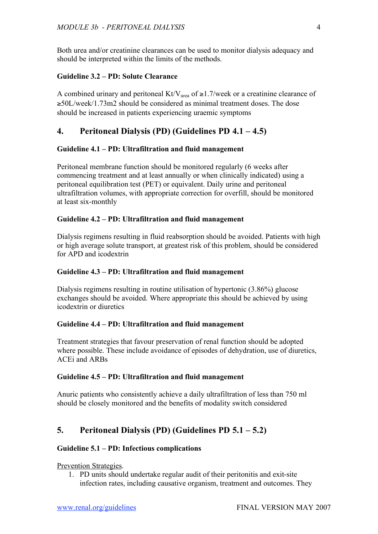Both urea and/or creatinine clearances can be used to monitor dialysis adequacy and should be interpreted within the limits of the methods.

## **Guideline 3.2 – PD: Solute Clearance**

A combined urinary and peritoneal Kt/V<sub>urea</sub> of  $\geq$ 1.7/week or a creatinine clearance of ≥50L/week/1.73m2 should be considered as minimal treatment doses. The dose should be increased in patients experiencing uraemic symptoms

# **4. Peritoneal Dialysis (PD) (Guidelines PD 4.1 – 4.5)**

### **Guideline 4.1 – PD: Ultrafiltration and fluid management**

Peritoneal membrane function should be monitored regularly (6 weeks after commencing treatment and at least annually or when clinically indicated) using a peritoneal equilibration test (PET) or equivalent. Daily urine and peritoneal ultrafiltration volumes, with appropriate correction for overfill, should be monitored at least six-monthly

## **Guideline 4.2 – PD: Ultrafiltration and fluid management**

Dialysis regimens resulting in fluid reabsorption should be avoided. Patients with high or high average solute transport, at greatest risk of this problem, should be considered for APD and icodextrin

### **Guideline 4.3 – PD: Ultrafiltration and fluid management**

Dialysis regimens resulting in routine utilisation of hypertonic (3.86%) glucose exchanges should be avoided. Where appropriate this should be achieved by using icodextrin or diuretics

### **Guideline 4.4 – PD: Ultrafiltration and fluid management**

Treatment strategies that favour preservation of renal function should be adopted where possible. These include avoidance of episodes of dehydration, use of diuretics, ACEi and ARBs

#### **Guideline 4.5 – PD: Ultrafiltration and fluid management**

Anuric patients who consistently achieve a daily ultrafiltration of less than 750 ml should be closely monitored and the benefits of modality switch considered

# **5. Peritoneal Dialysis (PD) (Guidelines PD 5.1 – 5.2)**

#### **Guideline 5.1 – PD: Infectious complications**

Prevention Strategies.

1. PD units should undertake regular audit of their peritonitis and exit-site infection rates, including causative organism, treatment and outcomes. They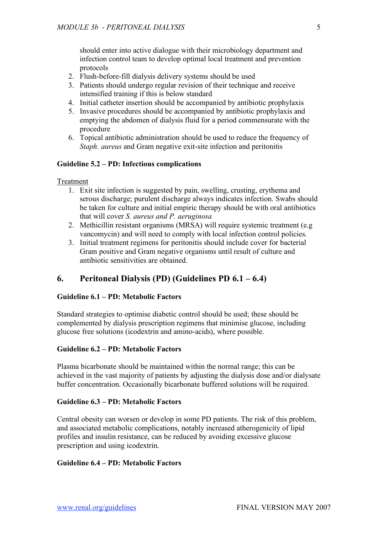should enter into active dialogue with their microbiology department and infection control team to develop optimal local treatment and prevention protocols

- 2. Flush-before-fill dialysis delivery systems should be used
- 3. Patients should undergo regular revision of their technique and receive intensified training if this is below standard
- 4. Initial catheter insertion should be accompanied by antibiotic prophylaxis
- 5. Invasive procedures should be accompanied by antibiotic prophylaxis and emptying the abdomen of dialysis fluid for a period commensurate with the procedure
- 6. Topical antibiotic administration should be used to reduce the frequency of *Staph. aureus* and Gram negative exit-site infection and peritonitis

### **Guideline 5.2 – PD: Infectious complications**

#### Treatment

- 1. Exit site infection is suggested by pain, swelling, crusting, erythema and serous discharge; purulent discharge always indicates infection. Swabs should be taken for culture and initial empiric therapy should be with oral antibiotics that will cover *S. aureus and P. aeruginosa*
- 2. Methicillin resistant organisms (MRSA) will require systemic treatment (e.g vancomycin) and will need to comply with local infection control policies.
- 3. Initial treatment regimens for peritonitis should include cover for bacterial Gram positive and Gram negative organisms until result of culture and antibiotic sensitivities are obtained.

# **6. Peritoneal Dialysis (PD) (Guidelines PD 6.1 – 6.4)**

# **Guideline 6.1 – PD: Metabolic Factors**

Standard strategies to optimise diabetic control should be used; these should be complemented by dialysis prescription regimens that minimise glucose, including glucose free solutions (icodextrin and amino-acids), where possible.

#### **Guideline 6.2 – PD: Metabolic Factors**

Plasma bicarbonate should be maintained within the normal range; this can be achieved in the vast majority of patients by adjusting the dialysis dose and/or dialysate buffer concentration. Occasionally bicarbonate buffered solutions will be required.

# **Guideline 6.3 – PD: Metabolic Factors**

Central obesity can worsen or develop in some PD patients. The risk of this problem, and associated metabolic complications, notably increased atherogenicity of lipid profiles and insulin resistance, can be reduced by avoiding excessive glucose prescription and using icodextrin.

# **Guideline 6.4 – PD: Metabolic Factors**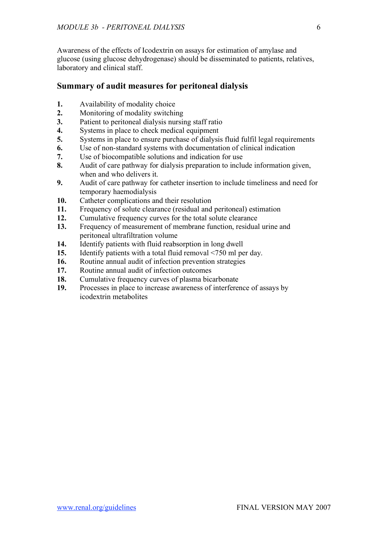Awareness of the effects of Icodextrin on assays for estimation of amylase and glucose (using glucose dehydrogenase) should be disseminated to patients, relatives, laboratory and clinical staff.

# **Summary of audit measures for peritoneal dialysis**

- **1.** Availability of modality choice
- **2.** Monitoring of modality switching
- **3.** Patient to peritoneal dialysis nursing staff ratio
- **4.** Systems in place to check medical equipment
- **5.** Systems in place to ensure purchase of dialysis fluid fulfil legal requirements
- **6.** Use of non-standard systems with documentation of clinical indication
- **7.** Use of biocompatible solutions and indication for use
- **8.** Audit of care pathway for dialysis preparation to include information given, when and who delivers it.
- **9.** Audit of care pathway for catheter insertion to include timeliness and need for temporary haemodialysis
- **10.** Catheter complications and their resolution
- **11.** Frequency of solute clearance (residual and peritoneal) estimation
- **12.** Cumulative frequency curves for the total solute clearance
- **13.** Frequency of measurement of membrane function, residual urine and peritoneal ultrafiltration volume
- **14.** Identify patients with fluid reabsorption in long dwell
- **15.** Identify patients with a total fluid removal <750 ml per day.
- **16.** Routine annual audit of infection prevention strategies
- **17.** Routine annual audit of infection outcomes
- **18.** Cumulative frequency curves of plasma bicarbonate
- **19.** Processes in place to increase awareness of interference of assays by icodextrin metabolites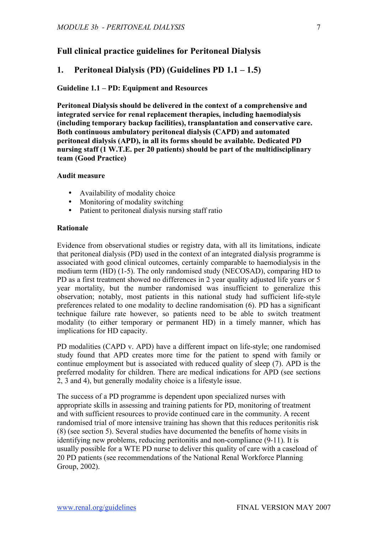# **Full clinical practice guidelines for Peritoneal Dialysis**

# **1. Peritoneal Dialysis (PD) (Guidelines PD 1.1 – 1.5)**

# **Guideline 1.1 – PD: Equipment and Resources**

**Peritoneal Dialysis should be delivered in the context of a comprehensive and integrated service for renal replacement therapies, including haemodialysis (including temporary backup facilities), transplantation and conservative care. Both continuous ambulatory peritoneal dialysis (CAPD) and automated peritoneal dialysis (APD), in all its forms should be available. Dedicated PD nursing staff (1 W.T.E. per 20 patients) should be part of the multidisciplinary team (Good Practice)**

# **Audit measure**

- Availability of modality choice
- Monitoring of modality switching
- Patient to peritoneal dialysis nursing staff ratio

# **Rationale**

Evidence from observational studies or registry data, with all its limitations, indicate that peritoneal dialysis (PD) used in the context of an integrated dialysis programme is associated with good clinical outcomes, certainly comparable to haemodialysis in the medium term (HD) (1-5). The only randomised study (NECOSAD), comparing HD to PD as a first treatment showed no differences in 2 year quality adjusted life years or 5 year mortality, but the number randomised was insufficient to generalize this observation; notably, most patients in this national study had sufficient life-style preferences related to one modality to decline randomisation (6). PD has a significant technique failure rate however, so patients need to be able to switch treatment modality (to either temporary or permanent HD) in a timely manner, which has implications for HD capacity.

PD modalities (CAPD v. APD) have a different impact on life-style; one randomised study found that APD creates more time for the patient to spend with family or continue employment but is associated with reduced quality of sleep (7). APD is the preferred modality for children. There are medical indications for APD (see sections 2, 3 and 4), but generally modality choice is a lifestyle issue.

The success of a PD programme is dependent upon specialized nurses with appropriate skills in assessing and training patients for PD, monitoring of treatment and with sufficient resources to provide continued care in the community. A recent randomised trial of more intensive training has shown that this reduces peritonitis risk (8) (see section 5). Several studies have documented the benefits of home visits in identifying new problems, reducing peritonitis and non-compliance (9-11). It is usually possible for a WTE PD nurse to deliver this quality of care with a caseload of 20 PD patients (see recommendations of the National Renal Workforce Planning Group, 2002).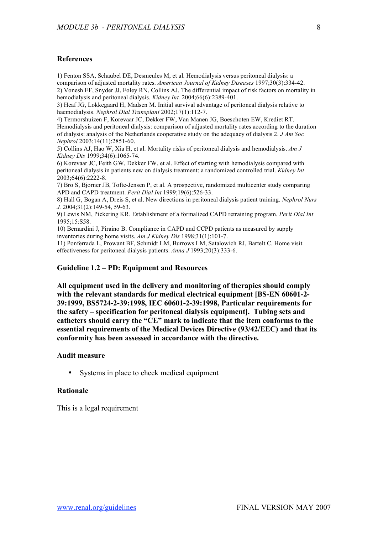### **References**

1) Fenton SSA, Schaubel DE, Desmeules M, et al. Hemodialysis versus peritoneal dialysis: a comparison of adjusted mortality rates. *American Journal of Kidney Diseases* 1997;30(3):334-42. 2) Vonesh EF, Snyder JJ, Foley RN, Collins AJ. The differential impact of risk factors on mortality in hemodialysis and peritoneal dialysis. *Kidney Int.* 2004;66(6):2389-401.

3) Heaf JG, Lokkegaard H, Madsen M. Initial survival advantage of peritoneal dialysis relative to haemodialysis. *Nephrol Dial Transplant* 2002;17(1):112-7.

4) Termorshuizen F, Korevaar JC, Dekker FW, Van Manen JG, Boeschoten EW, Krediet RT. Hemodialysis and peritoneal dialysis: comparison of adjusted mortality rates according to the duration of dialysis: analysis of the Netherlands cooperative study on the adequacy of dialysis 2. *J Am Soc Nephrol* 2003;14(11):2851-60.

5) Collins AJ, Hao W, Xia H, et al. Mortality risks of peritoneal dialysis and hemodialysis. *Am J Kidney Dis* 1999;34(6):1065-74.

6) Korevaar JC, Feith GW, Dekker FW, et al. Effect of starting with hemodialysis compared with peritoneal dialysis in patients new on dialysis treatment: a randomized controlled trial. *Kidney Int* 2003;64(6):2222-8.

7) Bro S, Bjorner JB, Tofte-Jensen P, et al. A prospective, randomized multicenter study comparing APD and CAPD treatment. *Perit Dial Int* 1999;19(6):526-33.

8) Hall G, Bogan A, Dreis S, et al. New directions in peritoneal dialysis patient training. *Nephrol Nurs J.* 2004;31(2):149-54, 59-63.

9) Lewis NM, Pickering KR. Establishment of a formalized CAPD retraining program. *Perit Dial Int* 1995;15:S58.

10) Bernardini J, Piraino B. Compliance in CAPD and CCPD patients as measured by supply inventories during home visits. *Am J Kidney Dis* 1998;31(1):101-7.

11) Ponferrada L, Prowant BF, Schmidt LM, Burrows LM, Satalowich RJ, Bartelt C. Home visit effectiveness for peritoneal dialysis patients. *Anna J* 1993;20(3):333-6.

#### **Guideline 1.2 – PD: Equipment and Resources**

**All equipment used in the delivery and monitoring of therapies should comply with the relevant standards for medical electrical equipment [BS-EN 60601-2- 39:1999, BS5724-2-39:1998, IEC 60601-2-39:1998, Particular requirements for the safety – specification for peritoneal dialysis equipment]. Tubing sets and catheters should carry the "CE" mark to indicate that the item conforms to the essential requirements of the Medical Devices Directive (93/42/EEC) and that its conformity has been assessed in accordance with the directive.**

#### **Audit measure**

Systems in place to check medical equipment

#### **Rationale**

This is a legal requirement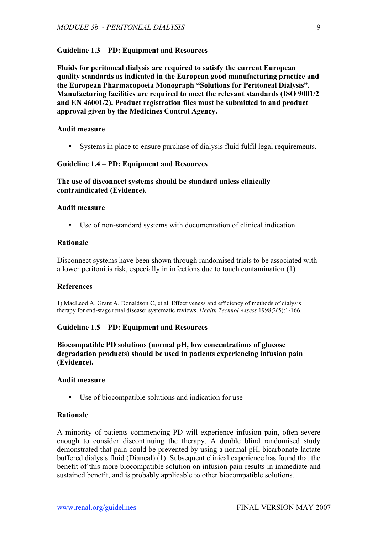#### **Guideline 1.3 – PD: Equipment and Resources**

**Fluids for peritoneal dialysis are required to satisfy the current European quality standards as indicated in the European good manufacturing practice and the European Pharmacopoeia Monograph "Solutions for Peritoneal Dialysis". Manufacturing facilities are required to meet the relevant standards (ISO 9001/2 and EN 46001/2). Product registration files must be submitted to and product approval given by the Medicines Control Agency.**

#### **Audit measure**

Systems in place to ensure purchase of dialysis fluid fulfil legal requirements.

#### **Guideline 1.4 – PD: Equipment and Resources**

### **The use of disconnect systems should be standard unless clinically contraindicated (Evidence).**

## **Audit measure**

• Use of non-standard systems with documentation of clinical indication

#### **Rationale**

Disconnect systems have been shown through randomised trials to be associated with a lower peritonitis risk, especially in infections due to touch contamination (1)

#### **References**

1) MacLeod A, Grant A, Donaldson C, et al. Effectiveness and efficiency of methods of dialysis therapy for end-stage renal disease: systematic reviews. *Health Technol Assess* 1998;2(5):1-166.

#### **Guideline 1.5 – PD: Equipment and Resources**

**Biocompatible PD solutions (normal pH, low concentrations of glucose degradation products) should be used in patients experiencing infusion pain (Evidence).**

### **Audit measure**

• Use of biocompatible solutions and indication for use

### **Rationale**

A minority of patients commencing PD will experience infusion pain, often severe enough to consider discontinuing the therapy. A double blind randomised study demonstrated that pain could be prevented by using a normal pH, bicarbonate-lactate buffered dialysis fluid (Dianeal) (1). Subsequent clinical experience has found that the benefit of this more biocompatible solution on infusion pain results in immediate and sustained benefit, and is probably applicable to other biocompatible solutions.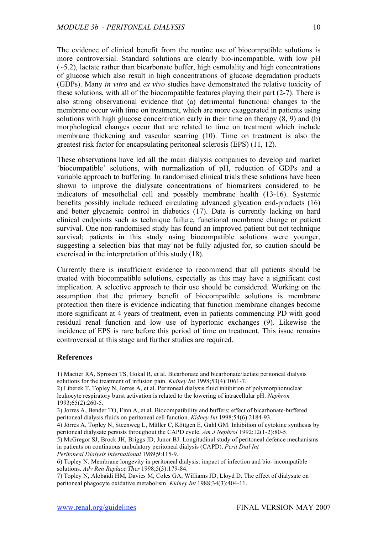The evidence of clinical benefit from the routine use of biocompatible solutions is more controversial. Standard solutions are clearly bio-incompatible, with low pH  $(-5.2)$ , lactate rather than bicarbonate buffer, high osmolality and high concentrations of glucose which also result in high concentrations of glucose degradation products (GDPs). Many *in vitro* and *ex vivo* studies have demonstrated the relative toxicity of these solutions, with all of the biocompatible features playing their part (2-7). There is also strong observational evidence that (a) detrimental functional changes to the membrane occur with time on treatment, which are more exaggerated in patients using solutions with high glucose concentration early in their time on therapy (8, 9) and (b) morphological changes occur that are related to time on treatment which include membrane thickening and vascular scarring (10). Time on treatment is also the greatest risk factor for encapsulating peritoneal sclerosis (EPS) (11, 12).

These observations have led all the main dialysis companies to develop and market 'biocompatible' solutions, with normalization of pH, reduction of GDPs and a variable approach to buffering. In randomised clinical trials these solutions have been shown to improve the dialysate concentrations of biomarkers considered to be indicators of mesothelial cell and possibly membrane health (13-16). Systemic benefits possibly include reduced circulating advanced glycation end-products (16) and better glycaemic control in diabetics (17). Data is currently lacking on hard clinical endpoints such as technique failure, functional membrane change or patient survival. One non-randomised study has found an improved patient but not technique survival; patients in this study using biocompatible solutions were younger, suggesting a selection bias that may not be fully adjusted for, so caution should be exercised in the interpretation of this study (18).

Currently there is insufficient evidence to recommend that all patients should be treated with biocompatible solutions, especially as this may have a significant cost implication. A selective approach to their use should be considered. Working on the assumption that the primary benefit of biocompatible solutions is membrane protection then there is evidence indicating that function membrane changes become more significant at 4 years of treatment, even in patients commencing PD with good residual renal function and low use of hypertonic exchanges (9). Likewise the incidence of EPS is rare before this period of time on treatment. This issue remains controversial at this stage and further studies are required.

#### **References**

1) Mactier RA, Sprosen TS, Gokal R, et al. Bicarbonate and bicarbonate/lactate peritoneal dialysis solutions for the treatment of infusion pain. *Kidney Int* 1998;53(4):1061-7.

2) Liberek T, Topley N, Jorres A, et al. Peritoneal dialysis fluid inhibition of polymorphonuclear leukocyte respiratory burst activation is related to the lowering of intracellular pH. *Nephron* 1993;65(2):260-5.

3) Jorres A, Bender TO, Finn A, et al. Biocompatibility and buffers: effect of bicarbonate-buffered peritoneal dialysis fluids on peritoneal cell function. *Kidney Int* 1998;54(6):2184-93.

4) Jörres A, Topley N, Steenweg L, Müller C, Köttgen E, Gahl GM. Inhibition of cytokine synthesis by peritoneal dialysate persists throughout the CAPD cycle. *Am J Nephrol* 1992;12(1-2):80-5.

5) McGregor SJ, Brock JH, Briggs JD, Junor BJ. Longitudinal study of peritoneal defence mechanisms in patients on continuous ambulatory peritoneal dialysis (CAPD). *Perit Dial Int Peritoneal Dialysis International* 1989;9:115-9.

6) Topley N. Membrane longevity in peritoneal dialysis: impact of infection and bio- incompatible solutions. *Adv Ren Replace Ther* 1998;5(3):179-84.

7) Topley N, Alobaidi HM, Davies M, Coles GA, Williams JD, Lloyd D. The effect of dialysate on peritoneal phagocyte oxidative metabolism. *Kidney Int* 1988;34(3):404-11.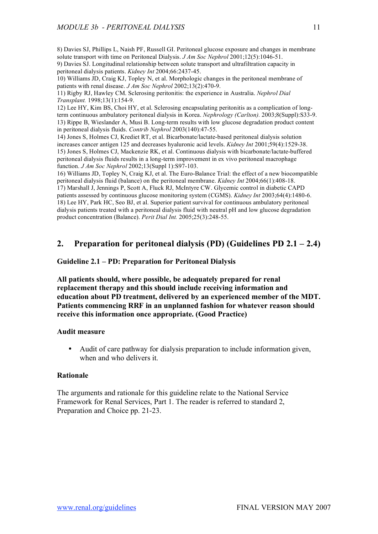8) Davies SJ, Phillips L, Naish PF, Russell GI. Peritoneal glucose exposure and changes in membrane solute transport with time on Peritoneal Dialysis. *J Am Soc Nephrol* 2001;12(5):1046-51. 9) Davies SJ. Longitudinal relationship between solute transport and ultrafiltration capacity in peritoneal dialysis patients. *Kidney Int* 2004;66:2437-45.

10) Williams JD, Craig KJ, Topley N, et al. Morphologic changes in the peritoneal membrane of patients with renal disease. *J Am Soc Nephrol* 2002;13(2):470-9.

11) Rigby RJ, Hawley CM. Sclerosing peritonitis: the experience in Australia. *Nephrol Dial Transplant.* 1998;13(1):154-9.

12) Lee HY, Kim BS, Choi HY, et al. Sclerosing encapsulating peritonitis as a complication of longterm continuous ambulatory peritoneal dialysis in Korea. *Nephrology (Carlton).* 2003;8(Suppl):S33-9. 13) Rippe B, Wieslander A, Musi B. Long-term results with low glucose degradation product content in peritoneal dialysis fluids. *Contrib Nephrol* 2003(140):47-55.

14) Jones S, Holmes CJ, Krediet RT, et al. Bicarbonate/lactate-based peritoneal dialysis solution increases cancer antigen 125 and decreases hyaluronic acid levels. *Kidney Int* 2001;59(4):1529-38. 15) Jones S, Holmes CJ, Mackenzie RK, et al. Continuous dialysis with bicarbonate/lactate-buffered peritoneal dialysis fluids results in a long-term improvement in ex vivo peritoneal macrophage function. *J Am Soc Nephrol* 2002;13(Suppl 1):S97-103.

16) Williams JD, Topley N, Craig KJ, et al. The Euro-Balance Trial: the effect of a new biocompatible peritoneal dialysis fluid (balance) on the peritoneal membrane. *Kidney Int* 2004;66(1):408-18. 17) Marshall J, Jennings P, Scott A, Fluck RJ, McIntyre CW. Glycemic control in diabetic CAPD patients assessed by continuous glucose monitoring system (CGMS). *Kidney Int* 2003;64(4):1480-6. 18) Lee HY, Park HC, Seo BJ, et al. Superior patient survival for continuous ambulatory peritoneal dialysis patients treated with a peritoneal dialysis fluid with neutral pH and low glucose degradation product concentration (Balance). *Perit Dial Int.* 2005;25(3):248-55.

# **2. Preparation for peritoneal dialysis (PD) (Guidelines PD 2.1 – 2.4)**

### **Guideline 2.1 – PD: Preparation for Peritoneal Dialysis**

**All patients should, where possible, be adequately prepared for renal replacement therapy and this should include receiving information and education about PD treatment, delivered by an experienced member of the MDT. Patients commencing RRF in an unplanned fashion for whatever reason should receive this information once appropriate. (Good Practice)**

# **Audit measure**

• Audit of care pathway for dialysis preparation to include information given, when and who delivers it.

#### **Rationale**

The arguments and rationale for this guideline relate to the National Service Framework for Renal Services, Part 1. The reader is referred to standard 2, Preparation and Choice pp. 21-23.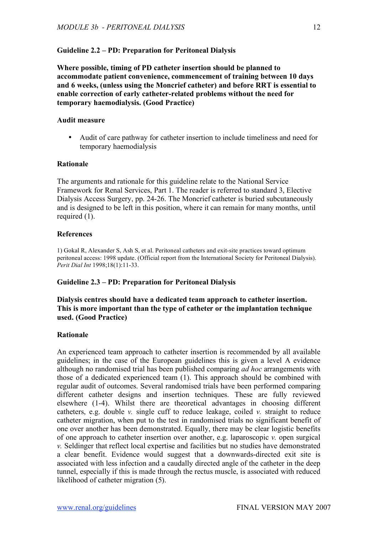# **Guideline 2.2 – PD: Preparation for Peritoneal Dialysis**

**Where possible, timing of PD catheter insertion should be planned to accommodate patient convenience, commencement of training between 10 days and 6 weeks, (unless using the Moncrief catheter) and before RRT is essential to enable correction of early catheter-related problems without the need for temporary haemodialysis. (Good Practice)**

## **Audit measure**

• Audit of care pathway for catheter insertion to include timeliness and need for temporary haemodialysis

### **Rationale**

The arguments and rationale for this guideline relate to the National Service Framework for Renal Services, Part 1. The reader is referred to standard 3, Elective Dialysis Access Surgery, pp. 24-26. The Moncrief catheter is buried subcutaneously and is designed to be left in this position, where it can remain for many months, until required (1).

# **References**

1) Gokal R, Alexander S, Ash S, et al. Peritoneal catheters and exit-site practices toward optimum peritoneal access: 1998 update. (Official report from the International Society for Peritoneal Dialysis). *Perit Dial Int* 1998;18(1):11-33.

# **Guideline 2.3 – PD: Preparation for Peritoneal Dialysis**

**Dialysis centres should have a dedicated team approach to catheter insertion. This is more important than the type of catheter or the implantation technique used. (Good Practice)**

# **Rationale**

An experienced team approach to catheter insertion is recommended by all available guidelines; in the case of the European guidelines this is given a level A evidence although no randomised trial has been published comparing *ad hoc* arrangements with those of a dedicated experienced team (1). This approach should be combined with regular audit of outcomes. Several randomised trials have been performed comparing different catheter designs and insertion techniques. These are fully reviewed elsewhere (1-4). Whilst there are theoretical advantages in choosing different catheters, e.g. double *v.* single cuff to reduce leakage, coiled *v.* straight to reduce catheter migration, when put to the test in randomised trials no significant benefit of one over another has been demonstrated. Equally, there may be clear logistic benefits of one approach to catheter insertion over another, e.g. laparoscopic *v.* open surgical *v.* Seldinger that reflect local expertise and facilities but no studies have demonstrated a clear benefit. Evidence would suggest that a downwards-directed exit site is associated with less infection and a caudally directed angle of the catheter in the deep tunnel, especially if this is made through the rectus muscle, is associated with reduced likelihood of catheter migration (5).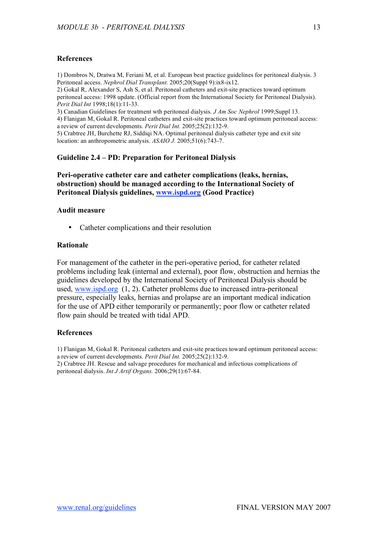## **References**

1) Dombros N, Dratwa M, Feriani M, et al. European best practice guidelines for peritoneal dialysis. 3 Peritoneal access. *Nephrol Dial Transplant.* 2005;20(Suppl 9):ix8-ix12.

2) Gokal R, Alexander S, Ash S, et al. Peritoneal catheters and exit-site practices toward optimum peritoneal access: 1998 update. (Official report from the International Society for Peritoneal Dialysis). *Perit Dial Int* 1998;18(1):11-33.

3) Canadian Guidelines for treatment wth peritoneal dialysis. *J Am Soc Nephrol* 1999;Suppl 13.

4) Flanigan M, Gokal R. Peritoneal catheters and exit-site practices toward optimum peritoneal access: a review of current developments. *Perit Dial Int.* 2005;25(2):132-9.

5) Crabtree JH, Burchette RJ, Siddiqi NA. Optimal peritoneal dialysis catheter type and exit site location: an anthropometric analysis. *ASAIO J.* 2005;51(6):743-7.

### **Guideline 2.4 – PD: Preparation for Peritoneal Dialysis**

**Peri-operative catheter care and catheter complications (leaks, hernias, obstruction) should be managed according to the International Society of Peritoneal Dialysis guidelines, www.ispd.org (Good Practice)**

#### **Audit measure**

• Catheter complications and their resolution

#### **Rationale**

For management of the catheter in the peri-operative period, for catheter related problems including leak (internal and external), poor flow, obstruction and hernias the guidelines developed by the International Society of Peritoneal Dialysis should be used, www.ispd.org (1, 2). Catheter problems due to increased intra-peritoneal pressure, especially leaks, hernias and prolapse are an important medical indication for the use of APD either temporarily or permanently; poor flow or catheter related flow pain should be treated with tidal APD.

#### **References**

1) Flanigan M, Gokal R. Peritoneal catheters and exit-site practices toward optimum peritoneal access: a review of current developments. *Perit Dial Int.* 2005;25(2):132-9.

2) Crabtree JH. Rescue and salvage procedures for mechanical and infectious complications of peritoneal dialysis. *Int J Artif Organs.* 2006;29(1):67-84.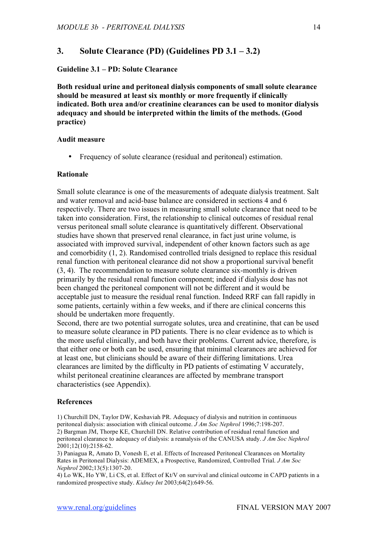# **3. Solute Clearance (PD) (Guidelines PD 3.1 – 3.2)**

#### **Guideline 3.1 – PD: Solute Clearance**

**Both residual urine and peritoneal dialysis components of small solute clearance should be measured at least six monthly or more frequently if clinically indicated. Both urea and/or creatinine clearances can be used to monitor dialysis adequacy and should be interpreted within the limits of the methods. (Good practice)**

#### **Audit measure**

• Frequency of solute clearance (residual and peritoneal) estimation.

#### **Rationale**

Small solute clearance is one of the measurements of adequate dialysis treatment. Salt and water removal and acid-base balance are considered in sections 4 and 6 respectively. There are two issues in measuring small solute clearance that need to be taken into consideration. First, the relationship to clinical outcomes of residual renal versus peritoneal small solute clearance is quantitatively different. Observational studies have shown that preserved renal clearance, in fact just urine volume, is associated with improved survival, independent of other known factors such as age and comorbidity (1, 2). Randomised controlled trials designed to replace this residual renal function with peritoneal clearance did not show a proportional survival benefit (3, 4). The recommendation to measure solute clearance six-monthly is driven primarily by the residual renal function component; indeed if dialysis dose has not been changed the peritoneal component will not be different and it would be acceptable just to measure the residual renal function. Indeed RRF can fall rapidly in some patients, certainly within a few weeks, and if there are clinical concerns this should be undertaken more frequently.

Second, there are two potential surrogate solutes, urea and creatinine, that can be used to measure solute clearance in PD patients. There is no clear evidence as to which is the more useful clinically, and both have their problems. Current advice, therefore, is that either one or both can be used, ensuring that minimal clearances are achieved for at least one, but clinicians should be aware of their differing limitations. Urea clearances are limited by the difficulty in PD patients of estimating V accurately, whilst peritoneal creatinine clearances are affected by membrane transport characteristics (see Appendix).

#### **References**

1) Churchill DN, Taylor DW, Keshaviah PR. Adequacy of dialysis and nutrition in continuous peritoneal dialysis: association with clinical outcome. *J Am Soc Nephrol* 1996;7:198-207. 2) Bargman JM, Thorpe KE, Churchill DN. Relative contribution of residual renal function and peritoneal clearance to adequacy of dialysis: a reanalysis of the CANUSA study. *J Am Soc Nephrol* 2001;12(10):2158-62.

3) Paniagua R, Amato D, Vonesh E, et al. Effects of Increased Peritoneal Clearances on Mortality Rates in Peritoneal Dialysis: ADEMEX, a Prospective, Randomized, Controlled Trial. *J Am Soc Nephrol* 2002;13(5):1307-20.

4) Lo WK, Ho YW, Li CS, et al. Effect of Kt/V on survival and clinical outcome in CAPD patients in a randomized prospective study. *Kidney Int* 2003;64(2):649-56.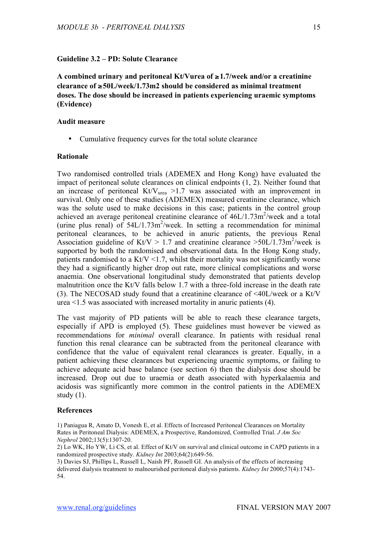### **Guideline 3.2 – PD: Solute Clearance**

**A combined urinary and peritoneal Kt/Vurea of** ≥**1.7/week and/or a creatinine clearance of** ≥**50L/week/1.73m2 should be considered as minimal treatment doses. The dose should be increased in patients experiencing uraemic symptoms (Evidence)**

### **Audit measure**

• Cumulative frequency curves for the total solute clearance

#### **Rationale**

Two randomised controlled trials (ADEMEX and Hong Kong) have evaluated the impact of peritoneal solute clearances on clinical endpoints (1, 2). Neither found that an increase of peritoneal  $Kt/V_{area} > 1.7$  was associated with an improvement in survival. Only one of these studies (ADEMEX) measured creatinine clearance, which was the solute used to make decisions in this case; patients in the control group achieved an average peritoneal creatinine clearance of  $46L/1.73m^2$ /week and a total (urine plus renal) of  $54L/1.73m^2$ /week. In setting a recommendation for minimal peritoneal clearances, to be achieved in anuric patients, the previous Renal Association guideline of Kt/V > 1.7 and creatinine clearance  $>50L/1.73m^2$ /week is supported by both the randomised and observational data. In the Hong Kong study, patients randomised to a Kt/V  $\leq$  1.7, whilst their mortality was not significantly worse they had a significantly higher drop out rate, more clinical complications and worse anaemia. One observational longitudinal study demonstrated that patients develop malnutrition once the Kt/V falls below 1.7 with a three-fold increase in the death rate (3). The NECOSAD study found that a creatinine clearance of <40L/week or a Kt/V urea <1.5 was associated with increased mortality in anuric patients (4).

The vast majority of PD patients will be able to reach these clearance targets, especially if APD is employed (5). These guidelines must however be viewed as recommendations for *minimal* overall clearance. In patients with residual renal function this renal clearance can be subtracted from the peritoneal clearance with confidence that the value of equivalent renal clearances is greater. Equally, in a patient achieving these clearances but experiencing uraemic symptoms, or failing to achieve adequate acid base balance (see section 6) then the dialysis dose should be increased. Drop out due to uraemia or death associated with hyperkalaemia and acidosis was significantly more common in the control patients in the ADEMEX study  $(1)$ .

#### **References**

1) Paniagua R, Amato D, Vonesh E, et al. Effects of Increased Peritoneal Clearances on Mortality Rates in Peritoneal Dialysis: ADEMEX, a Prospective, Randomized, Controlled Trial. *J Am Soc Nephrol* 2002;13(5):1307-20.

2) Lo WK, Ho YW, Li CS, et al. Effect of Kt/V on survival and clinical outcome in CAPD patients in a randomized prospective study. *Kidney Int* 2003;64(2):649-56.

3) Davies SJ, Phillips L, Russell L, Naish PF, Russell GI. An analysis of the effects of increasing delivered dialysis treatment to malnourished peritoneal dialysis patients. *Kidney Int* 2000;57(4):1743- 54.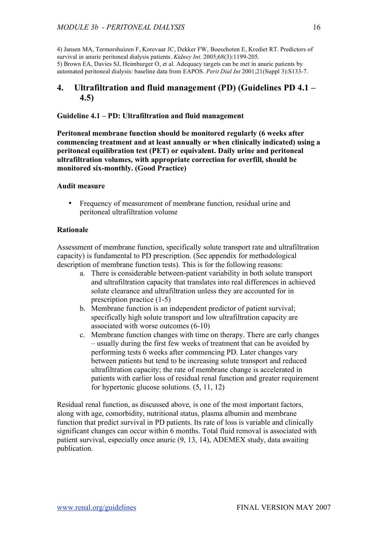4) Jansen MA, Termorshuizen F, Korevaar JC, Dekker FW, Boeschoten E, Krediet RT. Predictors of survival in anuric peritoneal dialysis patients. *Kidney Int.* 2005;68(3):1199-205. 5) Brown EA, Davies SJ, Heimburger O, et al. Adequacy targets can be met in anuric patients by automated peritoneal dialysis: baseline data from EAPOS. *Perit Dial Int* 2001;21(Suppl 3):S133-7.

# **4. Ultrafiltration and fluid management (PD) (Guidelines PD 4.1 – 4.5)**

## **Guideline 4.1 – PD: Ultrafiltration and fluid management**

**Peritoneal membrane function should be monitored regularly (6 weeks after commencing treatment and at least annually or when clinically indicated) using a peritoneal equilibration test (PET) or equivalent. Daily urine and peritoneal ultrafiltration volumes, with appropriate correction for overfill, should be monitored six-monthly. (Good Practice)**

### **Audit measure**

• Frequency of measurement of membrane function, residual urine and peritoneal ultrafiltration volume

### **Rationale**

Assessment of membrane function, specifically solute transport rate and ultrafiltration capacity) is fundamental to PD prescription. (See appendix for methodological description of membrane function tests). This is for the following reasons:

- a. There is considerable between-patient variability in both solute transport and ultrafiltration capacity that translates into real differences in achieved solute clearance and ultrafiltration unless they are accounted for in prescription practice (1-5)
- b. Membrane function is an independent predictor of patient survival; specifically high solute transport and low ultrafiltration capacity are associated with worse outcomes (6-10)
- c. Membrane function changes with time on therapy. There are early changes – usually during the first few weeks of treatment that can be avoided by performing tests 6 weeks after commencing PD. Later changes vary between patients but tend to be increasing solute transport and reduced ultrafiltration capacity; the rate of membrane change is accelerated in patients with earlier loss of residual renal function and greater requirement for hypertonic glucose solutions. (5, 11, 12)

Residual renal function, as discussed above, is one of the most important factors, along with age, comorbidity, nutritional status, plasma albumin and membrane function that predict survival in PD patients. Its rate of loss is variable and clinically significant changes can occur within 6 months. Total fluid removal is associated with patient survival, especially once anuric (9, 13, 14), ADEMEX study, data awaiting publication.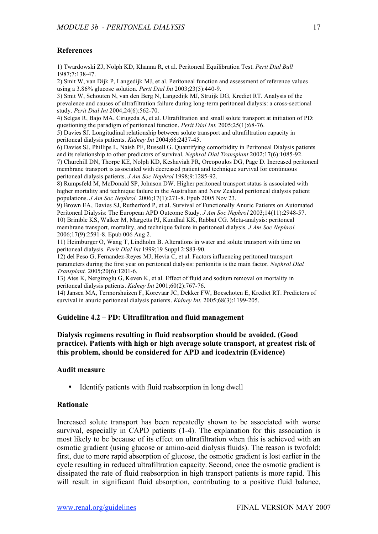## **References**

1) Twardowski ZJ, Nolph KD, Khanna R, et al. Peritoneal Equilibration Test. *Perit Dial Bull* 1987;7:138-47.

2) Smit W, van Dijk P, Langedijk MJ, et al. Peritoneal function and assessment of reference values using a 3.86% glucose solution. *Perit Dial Int* 2003;23(5):440-9.

3) Smit W, Schouten N, van den Berg N, Langedijk MJ, Struijk DG, Krediet RT. Analysis of the prevalence and causes of ultrafiltration failure during long-term peritoneal dialysis: a cross-sectional study. *Perit Dial Int* 2004;24(6):562-70.

4) Selgas R, Bajo MA, Cirugeda A, et al. Ultrafiltration and small solute transport at initiation of PD: questioning the paradigm of peritoneal function. *Perit Dial Int.* 2005;25(1):68-76.

5) Davies SJ. Longitudinal relationship between solute transport and ultrafiltration capacity in peritoneal dialysis patients. *Kidney Int* 2004;66:2437-45.

6) Davies SJ, Phillips L, Naish PF, Russell G. Quantifying comorbidity in Peritoneal Dialysis patients and its relationship to other predictors of survival. *Nephrol Dial Transplant* 2002;17(6):1085-92.

7) Churchill DN, Thorpe KE, Nolph KD, Keshaviah PR, Oreopoulos DG, Page D. Increased peritoneal membrane transport is associated with decreased patient and technique survival for continuous peritoneal dialysis patients. *J Am Soc Nephrol* 1998;9:1285-92.

8) Rumpsfeld M, McDonald SP, Johnson DW. Higher peritoneal transport status is associated with higher mortality and technique failure in the Australian and New Zealand peritoneal dialysis patient populations. *J Am Soc Nephrol.* 2006;17(1):271-8. Epub 2005 Nov 23.

9) Brown EA, Davies SJ, Rutherford P, et al. Survival of Functionally Anuric Patients on Automated Peritoneal Dialysis: The European APD Outcome Study. *J Am Soc Nephrol* 2003;14(11):2948-57. 10) Brimble KS, Walker M, Margetts PJ, Kundhal KK, Rabbat CG. Meta-analysis: peritoneal membrane transport, mortality, and technique failure in peritoneal dialysis. *J Am Soc Nephrol.* 2006;17(9):2591-8. Epub 006 Aug 2.

11) Heimburger O, Wang T, Lindholm B. Alterations in water and solute transport with time on peritoneal dialysis. *Perit Dial Int* 1999;19 Suppl 2:S83-90.

12) del Peso G, Fernandez-Reyes MJ, Hevia C, et al. Factors influencing peritoneal transport parameters during the first year on peritoneal dialysis: peritonitis is the main factor. *Nephrol Dial Transplant.* 2005;20(6):1201-6.

13) Ates K, Nergizoglu G, Keven K, et al. Effect of fluid and sodium removal on mortality in peritoneal dialysis patients. *Kidney Int* 2001;60(2):767-76.

14) Jansen MA, Termorshuizen F, Korevaar JC, Dekker FW, Boeschoten E, Krediet RT. Predictors of survival in anuric peritoneal dialysis patients. *Kidney Int.* 2005;68(3):1199-205.

#### **Guideline 4.2 – PD: Ultrafiltration and fluid management**

## **Dialysis regimens resulting in fluid reabsorption should be avoided. (Good practice). Patients with high or high average solute transport, at greatest risk of this problem, should be considered for APD and icodextrin (Evidence)**

#### **Audit measure**

• Identify patients with fluid reabsorption in long dwell

#### **Rationale**

Increased solute transport has been repeatedly shown to be associated with worse survival, especially in CAPD patients (1-4). The explanation for this association is most likely to be because of its effect on ultrafiltration when this is achieved with an osmotic gradient (using glucose or amino-acid dialysis fluids). The reason is twofold: first, due to more rapid absorption of glucose, the osmotic gradient is lost earlier in the cycle resulting in reduced ultrafiltration capacity. Second, once the osmotic gradient is dissipated the rate of fluid reabsorption in high transport patients is more rapid. This will result in significant fluid absorption, contributing to a positive fluid balance,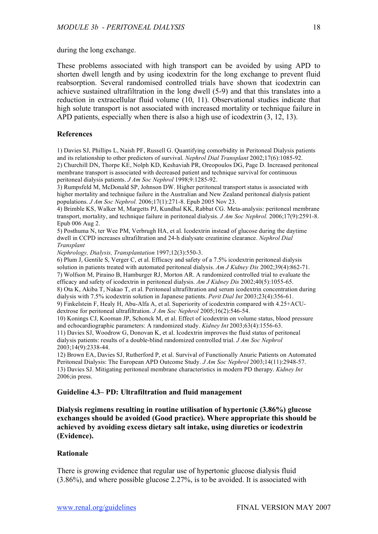during the long exchange.

These problems associated with high transport can be avoided by using APD to shorten dwell length and by using icodextrin for the long exchange to prevent fluid reabsorption. Several randomised controlled trials have shown that icodextrin can achieve sustained ultrafiltration in the long dwell (5-9) and that this translates into a reduction in extracellular fluid volume (10, 11). Observational studies indicate that high solute transport is not associated with increased mortality or technique failure in APD patients, especially when there is also a high use of icodextrin (3, 12, 13).

## **References**

1) Davies SJ, Phillips L, Naish PF, Russell G. Quantifying comorbidity in Peritoneal Dialysis patients and its relationship to other predictors of survival. *Nephrol Dial Transplant* 2002;17(6):1085-92. 2) Churchill DN, Thorpe KE, Nolph KD, Keshaviah PR, Oreopoulos DG, Page D. Increased peritoneal membrane transport is associated with decreased patient and technique survival for continuous peritoneal dialysis patients. *J Am Soc Nephrol* 1998;9:1285-92.

3) Rumpsfeld M, McDonald SP, Johnson DW. Higher peritoneal transport status is associated with higher mortality and technique failure in the Australian and New Zealand peritoneal dialysis patient populations. *J Am Soc Nephrol.* 2006;17(1):271-8. Epub 2005 Nov 23.

4) Brimble KS, Walker M, Margetts PJ, Kundhal KK, Rabbat CG. Meta-analysis: peritoneal membrane transport, mortality, and technique failure in peritoneal dialysis. *J Am Soc Nephrol.* 2006;17(9):2591-8. Epub 006 Aug 2.

5) Posthuma N, ter Wee PM, Verbrugh HA, et al. Icodextrin instead of glucose during the daytime dwell in CCPD increases ultrafiltration and 24-h dialysate creatinine clearance. *Nephrol Dial Transplant*

*Nephrology, Dialysis, Transplantation* 1997;12(3):550-3.

6) Plum J, Gentile S, Verger C, et al. Efficacy and safety of a 7.5% icodextrin peritoneal dialysis solution in patients treated with automated peritoneal dialysis. *Am J Kidney Dis* 2002;39(4):862-71. 7) Wolfson M, Piraino B, Hamburger RJ, Morton AR. A randomized controlled trial to evaluate the efficacy and safety of icodextrin in peritoneal dialysis. *Am J Kidney Dis* 2002;40(5):1055-65. 8) Ota K, Akiba T, Nakao T, et al. Peritoneal ultrafiltration and serum icodextrin concentration during dialysis with 7.5% icodextrin solution in Japanese patients. *Perit Dial Int* 2003;23(4):356-61. 9) Finkelstein F, Healy H, Abu-Alfa A, et al. Superiority of icodextrin compared with 4.25+ACUdextrose for peritoneal ultrafiltration. *J Am Soc Nephrol* 2005;16(2):546-54.

10) Konings CJ, Kooman JP, Schonck M, et al. Effect of icodextrin on volume status, blood pressure and echocardiographic parameters: A randomized study. *Kidney Int* 2003;63(4):1556-63. 11) Davies SJ, Woodrow G, Donovan K, et al. Icodextrin improves the fluid status of peritoneal

dialysis patients: results of a double-blind randomized controlled trial. *J Am Soc Nephrol* 2003;14(9):2338-44.

12) Brown EA, Davies SJ, Rutherford P, et al. Survival of Functionally Anuric Patients on Automated Peritoneal Dialysis: The European APD Outcome Study. *J Am Soc Nephrol* 2003;14(11):2948-57. 13) Davies SJ. Mitigating peritoneal membrane characteristics in modern PD therapy. *Kidney Int* 2006;in press.

#### **Guideline 4.3– PD: Ultrafiltration and fluid management**

**Dialysis regimens resulting in routine utilisation of hypertonic (3.86%) glucose exchanges should be avoided (Good practice). Where appropriate this should be achieved by avoiding excess dietary salt intake, using diuretics or icodextrin (Evidence).**

#### **Rationale**

There is growing evidence that regular use of hypertonic glucose dialysis fluid (3.86%), and where possible glucose 2.27%, is to be avoided. It is associated with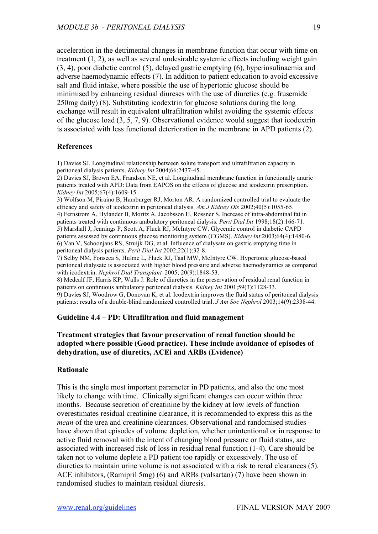acceleration in the detrimental changes in membrane function that occur with time on treatment (1, 2), as well as several undesirable systemic effects including weight gain (3, 4), poor diabetic control (5), delayed gastric emptying (6), hyperinsulinaemia and adverse haemodynamic effects (7). In addition to patient education to avoid excessive salt and fluid intake, where possible the use of hypertonic glucose should be minimised by enhancing residual diureses with the use of diuretics (e.g. frusemide 250mg daily) (8). Substituting icodextrin for glucose solutions during the long exchange will result in equivalent ultrafiltration whilst avoiding the systemic effects of the glucose load (3, 5, 7, 9). Observational evidence would suggest that icodextrin is associated with less functional deterioration in the membrane in APD patients (2).

### **References**

1) Davies SJ. Longitudinal relationship between solute transport and ultrafiltration capacity in peritoneal dialysis patients. *Kidney Int* 2004;66:2437-45.

2) Davies SJ, Brown EA, Frandsen NE, et al. Longitudinal membrane function in functionally anuric patients treated with APD: Data from EAPOS on the effects of glucose and icodextrin prescription. *Kidney Int* 2005;67(4):1609-15.

3) Wolfson M, Piraino B, Hamburger RJ, Morton AR. A randomized controlled trial to evaluate the efficacy and safety of icodextrin in peritoneal dialysis. *Am J Kidney Dis* 2002;40(5):1055-65. 4) Fernstrom A, Hylander B, Moritz A, Jacobsson H, Rossner S. Increase of intra-abdominal fat in patients treated with continuous ambulatory peritoneal dialysis. *Perit Dial Int* 1998;18(2):166-71. 5) Marshall J, Jennings P, Scott A, Fluck RJ, McIntyre CW. Glycemic control in diabetic CAPD patients assessed by continuous glucose monitoring system (CGMS). *Kidney Int* 2003;64(4):1480-6. 6) Van V, Schoonjans RS, Struijk DG, et al. Influence of dialysate on gastric emptying time in peritoneal dialysis patients. *Perit Dial Int* 2002;22(1):32-8.

7) Selby NM, Fonseca S, Hulme L, Fluck RJ, Taal MW, McIntyre CW. Hypertonic glucose-based peritoneal dialysate is associated with higher blood pressure and adverse haemodynamics as compared with icodextrin. *Nephrol Dial Transplant* 2005; 20(9):1848-53.

8) Medcalf JF, Harris KP, Walls J. Role of diuretics in the preservation of residual renal function in patients on continuous ambulatory peritoneal dialysis. *Kidney Int* 2001;59(3):1128-33.

9) Davies SJ, Woodrow G, Donovan K, et al. Icodextrin improves the fluid status of peritoneal dialysis patients: results of a double-blind randomized controlled trial. *J Am Soc Nephrol* 2003;14(9):2338-44.

#### **Guideline 4.4 – PD: Ultrafiltration and fluid management**

## **Treatment strategies that favour preservation of renal function should be adopted where possible (Good practice). These include avoidance of episodes of dehydration, use of diuretics, ACEi and ARBs (Evidence)**

#### **Rationale**

This is the single most important parameter in PD patients, and also the one most likely to change with time. Clinically significant changes can occur within three months. Because secretion of creatinine by the kidney at low levels of function overestimates residual creatinine clearance, it is recommended to express this as the *mean* of the urea and creatinine clearances. Observational and randomised studies have shown that episodes of volume depletion, whether unintentional or in response to active fluid removal with the intent of changing blood pressure or fluid status, are associated with increased risk of loss in residual renal function (1-4). Care should be taken not to volume deplete a PD patient too rapidly or excessively. The use of diuretics to maintain urine volume is not associated with a risk to renal clearances (5). ACE inhibitors, (Ramipril 5mg) (6) and ARBs (valsartan) (7) have been shown in randomised studies to maintain residual diuresis.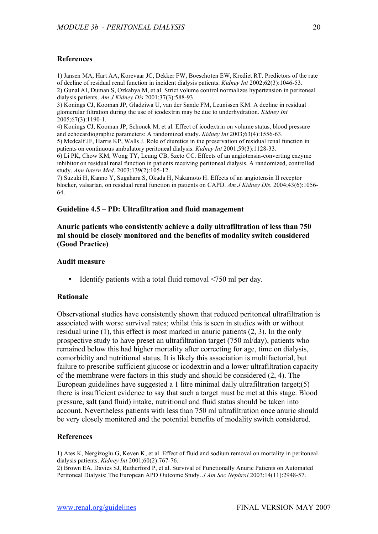#### **References**

1) Jansen MA, Hart AA, Korevaar JC, Dekker FW, Boeschoten EW, Krediet RT. Predictors of the rate of decline of residual renal function in incident dialysis patients. *Kidney Int* 2002;62(3):1046-53. 2) Gunal AI, Duman S, Ozkahya M, et al. Strict volume control normalizes hypertension in peritoneal dialysis patients. *Am J Kidney Dis* 2001;37(3):588-93.

3) Konings CJ, Kooman JP, Gladziwa U, van der Sande FM, Leunissen KM. A decline in residual glomerular filtration during the use of icodextrin may be due to underhydration. *Kidney Int* 2005;67(3):1190-1.

4) Konings CJ, Kooman JP, Schonck M, et al. Effect of icodextrin on volume status, blood pressure and echocardiographic parameters: A randomized study. *Kidney Int* 2003;63(4):1556-63.

5) Medcalf JF, Harris KP, Walls J. Role of diuretics in the preservation of residual renal function in patients on continuous ambulatory peritoneal dialysis. *Kidney Int* 2001;59(3):1128-33.

6) Li PK, Chow KM, Wong TY, Leung CB, Szeto CC. Effects of an angiotensin-converting enzyme inhibitor on residual renal function in patients receiving peritoneal dialysis. A randomized, controlled study. *Ann Intern Med.* 2003;139(2):105-12.

7) Suzuki H, Kanno Y, Sugahara S, Okada H, Nakamoto H. Effects of an angiotensin II receptor blocker, valsartan, on residual renal function in patients on CAPD. *Am J Kidney Dis.* 2004;43(6):1056- 64.

### **Guideline 4.5 – PD: Ultrafiltration and fluid management**

# **Anuric patients who consistently achieve a daily ultrafiltration of less than 750 ml should be closely monitored and the benefits of modality switch considered (Good Practice)**

### **Audit measure**

• Identify patients with a total fluid removal <750 ml per day.

#### **Rationale**

Observational studies have consistently shown that reduced peritoneal ultrafiltration is associated with worse survival rates; whilst this is seen in studies with or without residual urine (1), this effect is most marked in anuric patients (2, 3). In the only prospective study to have preset an ultrafiltration target (750 ml/day), patients who remained below this had higher mortality after correcting for age, time on dialysis, comorbidity and nutritional status. It is likely this association is multifactorial, but failure to prescribe sufficient glucose or icodextrin and a lower ultrafiltration capacity of the membrane were factors in this study and should be considered (2, 4). The European guidelines have suggested a 1 litre minimal daily ultrafiltration target;(5) there is insufficient evidence to say that such a target must be met at this stage. Blood pressure, salt (and fluid) intake, nutritional and fluid status should be taken into account. Nevertheless patients with less than 750 ml ultrafiltration once anuric should be very closely monitored and the potential benefits of modality switch considered.

#### **References**

1) Ates K, Nergizoglu G, Keven K, et al. Effect of fluid and sodium removal on mortality in peritoneal dialysis patients. *Kidney Int* 2001;60(2):767-76.

2) Brown EA, Davies SJ, Rutherford P, et al. Survival of Functionally Anuric Patients on Automated Peritoneal Dialysis: The European APD Outcome Study. *J Am Soc Nephrol* 2003;14(11):2948-57.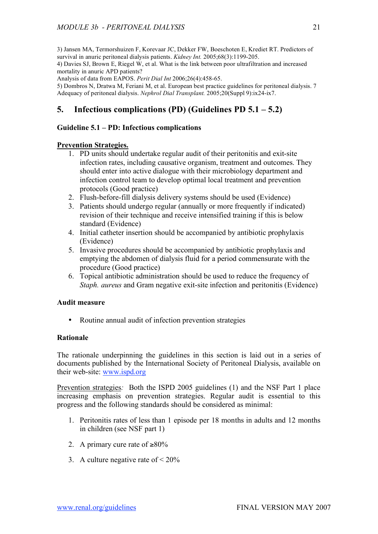3) Jansen MA, Termorshuizen F, Korevaar JC, Dekker FW, Boeschoten E, Krediet RT. Predictors of survival in anuric peritoneal dialysis patients. *Kidney Int.* 2005;68(3):1199-205.

4) Davies SJ, Brown E, Riegel W, et al. What is the link between poor ultrafiltration and increased mortality in anuric APD patients?

Analysis of data from EAPOS. *Perit Dial Int* 2006;26(4):458-65.

5) Dombros N, Dratwa M, Feriani M, et al. European best practice guidelines for peritoneal dialysis. 7 Adequacy of peritoneal dialysis. *Nephrol Dial Transplant.* 2005;20(Suppl 9):ix24-ix7.

# **5. Infectious complications (PD) (Guidelines PD 5.1 – 5.2)**

# **Guideline 5.1 – PD: Infectious complications**

# **Prevention Strategies.**

- 1. PD units should undertake regular audit of their peritonitis and exit-site infection rates, including causative organism, treatment and outcomes. They should enter into active dialogue with their microbiology department and infection control team to develop optimal local treatment and prevention protocols (Good practice)
- 2. Flush-before-fill dialysis delivery systems should be used (Evidence)
- 3. Patients should undergo regular (annually or more frequently if indicated) revision of their technique and receive intensified training if this is below standard (Evidence)
- 4. Initial catheter insertion should be accompanied by antibiotic prophylaxis (Evidence)
- 5. Invasive procedures should be accompanied by antibiotic prophylaxis and emptying the abdomen of dialysis fluid for a period commensurate with the procedure (Good practice)
- 6. Topical antibiotic administration should be used to reduce the frequency of *Staph. aureus* and Gram negative exit-site infection and peritonitis (Evidence)

# **Audit measure**

• Routine annual audit of infection prevention strategies

# **Rationale**

The rationale underpinning the guidelines in this section is laid out in a series of documents published by the International Society of Peritoneal Dialysis, available on their web-site: www.ispd.org

Prevention strategies*:* Both the ISPD 2005 guidelines (1) and the NSF Part 1 place increasing emphasis on prevention strategies. Regular audit is essential to this progress and the following standards should be considered as minimal:

- 1. Peritonitis rates of less than 1 episode per 18 months in adults and 12 months in children (see NSF part 1)
- 2. A primary cure rate of  $\geq 80\%$
- 3. A culture negative rate of  $\leq 20\%$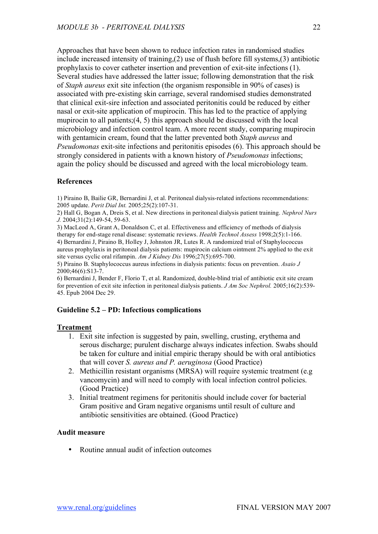Approaches that have been shown to reduce infection rates in randomised studies include increased intensity of training,(2) use of flush before fill systems,(3) antibiotic prophylaxis to cover catheter insertion and prevention of exit-site infections (1). Several studies have addressed the latter issue; following demonstration that the risk of *Staph aureus* exit site infection (the organism responsible in 90% of cases) is associated with pre-existing skin carriage, several randomised studies demonstrated that clinical exit-sire infection and associated peritonitis could be reduced by either nasal or exit-site application of mupirocin. This has led to the practice of applying mupirocin to all patients;(4, 5) this approach should be discussed with the local microbiology and infection control team. A more recent study, comparing mupirocin with gentamicin cream, found that the latter prevented both *Staph aureus* and *Pseudomonas* exit-site infections and peritonitis episodes (6). This approach should be strongly considered in patients with a known history of *Pseudomonas* infections; again the policy should be discussed and agreed with the local microbiology team.

# **References**

1) Piraino B, Bailie GR, Bernardini J, et al. Peritoneal dialysis-related infections recommendations: 2005 update. *Perit Dial Int.* 2005;25(2):107-31.

2) Hall G, Bogan A, Dreis S, et al. New directions in peritoneal dialysis patient training. *Nephrol Nurs J.* 2004;31(2):149-54, 59-63.

3) MacLeod A, Grant A, Donaldson C, et al. Effectiveness and efficiency of methods of dialysis therapy for end-stage renal disease: systematic reviews. *Health Technol Assess* 1998;2(5):1-166. 4) Bernardini J, Piraino B, Holley J, Johnston JR, Lutes R. A randomized trial of Staphylococcus aureus prophylaxis in peritoneal dialysis patients: mupirocin calcium ointment 2% applied to the exit site versus cyclic oral rifampin. *Am J Kidney Dis* 1996;27(5):695-700.

5) Piraino B. Staphylococcus aureus infections in dialysis patients: focus on prevention. *Asaio J* 2000;46(6):S13-7.

6) Bernardini J, Bender F, Florio T, et al. Randomized, double-blind trial of antibiotic exit site cream for prevention of exit site infection in peritoneal dialysis patients. *J Am Soc Nephrol.* 2005;16(2):539- 45. Epub 2004 Dec 29.

# **Guideline 5.2 – PD: Infectious complications**

# **Treatment**

- 1. Exit site infection is suggested by pain, swelling, crusting, erythema and serous discharge; purulent discharge always indicates infection. Swabs should be taken for culture and initial empiric therapy should be with oral antibiotics that will cover *S. aureus and P. aeruginosa* (Good Practice)
- 2. Methicillin resistant organisms (MRSA) will require systemic treatment (e.g vancomycin) and will need to comply with local infection control policies. (Good Practice)
- 3. Initial treatment regimens for peritonitis should include cover for bacterial Gram positive and Gram negative organisms until result of culture and antibiotic sensitivities are obtained. (Good Practice)

# **Audit measure**

• Routine annual audit of infection outcomes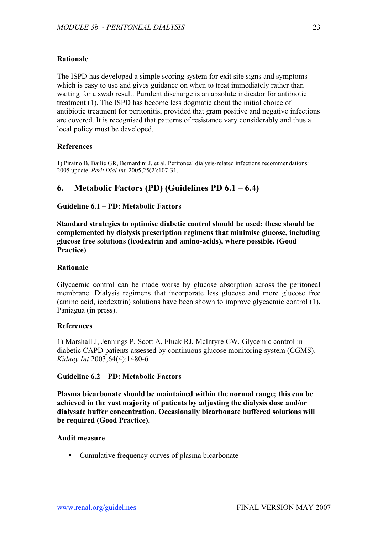# **Rationale**

The ISPD has developed a simple scoring system for exit site signs and symptoms which is easy to use and gives guidance on when to treat immediately rather than waiting for a swab result. Purulent discharge is an absolute indicator for antibiotic treatment (1). The ISPD has become less dogmatic about the initial choice of antibiotic treatment for peritonitis, provided that gram positive and negative infections are covered. It is recognised that patterns of resistance vary considerably and thus a local policy must be developed.

# **References**

1) Piraino B, Bailie GR, Bernardini J, et al. Peritoneal dialysis-related infections recommendations: 2005 update. *Perit Dial Int.* 2005;25(2):107-31.

# **6. Metabolic Factors (PD) (Guidelines PD 6.1 – 6.4)**

# **Guideline 6.1 – PD: Metabolic Factors**

**Standard strategies to optimise diabetic control should be used; these should be complemented by dialysis prescription regimens that minimise glucose, including glucose free solutions (icodextrin and amino-acids), where possible. (Good Practice)**

## **Rationale**

Glycaemic control can be made worse by glucose absorption across the peritoneal membrane. Dialysis regimens that incorporate less glucose and more glucose free (amino acid, icodextrin) solutions have been shown to improve glycaemic control (1), Paniagua (in press).

# **References**

1) Marshall J, Jennings P, Scott A, Fluck RJ, McIntyre CW. Glycemic control in diabetic CAPD patients assessed by continuous glucose monitoring system (CGMS). *Kidney Int* 2003;64(4):1480-6.

# **Guideline 6.2 – PD: Metabolic Factors**

**Plasma bicarbonate should be maintained within the normal range; this can be achieved in the vast majority of patients by adjusting the dialysis dose and/or dialysate buffer concentration. Occasionally bicarbonate buffered solutions will be required (Good Practice).**

#### **Audit measure**

• Cumulative frequency curves of plasma bicarbonate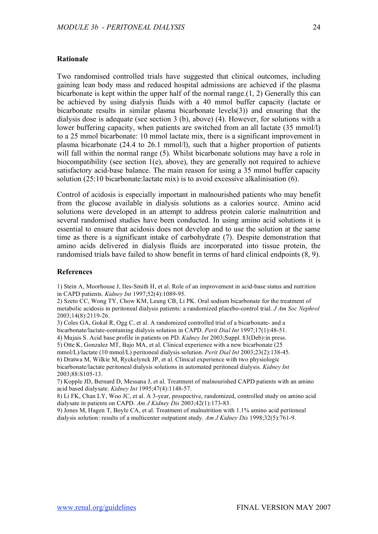#### **Rationale**

Two randomised controlled trials have suggested that clinical outcomes, including gaining lean body mass and reduced hospital admissions are achieved if the plasma bicarbonate is kept within the upper half of the normal range.(1, 2) Generally this can be achieved by using dialysis fluids with a 40 mmol buffer capacity (lactate or bicarbonate results in similar plasma bicarbonate levels(3)) and ensuring that the dialysis dose is adequate (see section 3 (b), above) (4). However, for solutions with a lower buffering capacity, when patients are switched from an all lactate (35 mmol/l) to a 25 mmol bicarbonate: 10 mmol lactate mix, there is a significant improvement in plasma bicarbonate (24.4 to 26.1 mmol/l), such that a higher proportion of patients will fall within the normal range (5). Whilst bicarbonate solutions may have a role in biocompatibility (see section 1(e), above), they are generally not required to achieve satisfactory acid-base balance. The main reason for using a 35 mmol buffer capacity solution (25:10 bicarbonate:lactate mix) is to avoid excessive alkalinisation (6).

Control of acidosis is especially important in malnourished patients who may benefit from the glucose available in dialysis solutions as a calories source. Amino acid solutions were developed in an attempt to address protein calorie malnutrition and several randomised studies have been conducted. In using amino acid solutions it is essential to ensure that acidosis does not develop and to use the solution at the same time as there is a significant intake of carbohydrate (7). Despite demonstration that amino acids delivered in dialysis fluids are incorporated into tissue protein, the randomised trials have failed to show benefit in terms of hard clinical endpoints (8, 9).

#### **References**

1) Stein A, Moorhouse J, Iles-Smith H, et al. Role of an improvement in acid-base status and nutrition in CAPD patients. *Kidney Int* 1997;52(4):1089-95.

2) Szeto CC, Wong TY, Chow KM, Leung CB, Li PK. Oral sodium bicarbonate for the treatment of metabolic acidosis in peritoneal dialysis patients: a randomized placebo-control trial. *J Am Soc Nephrol* 2003;14(8):2119-26.

3) Coles GA, Gokal R, Ogg C, et al. A randomized controlled trial of a bicarbonate- and a

bicarbonate/lactate-containing dialysis solution in CAPD. *Perit Dial Int* 1997;17(1):48-51.

4) Mujais S. Acid base profile in patients on PD. *Kidney Int* 2003;Suppl. 83(Deb):in press.

5) Otte K, Gonzalez MT, Bajo MA, et al. Clinical experience with a new bicarbonate (25

mmol/L)/lactate (10 mmol/L) peritoneal dialysis solution. *Perit Dial Int* 2003;23(2):138-45.

6) Dratwa M, Wilkie M, Ryckelynck JP, et al. Clinical experience with two physiologic bicarbonate/lactate peritoneal dialysis solutions in automated peritoneal dialysis. *Kidney Int*

2003;88:S105-13.

7) Kopple JD, Bernard D, Messana J, et al. Treatment of malnourished CAPD patients with an amino acid based dialysate. *Kidney Int* 1995;47(4):1148-57.

8) Li FK, Chan LY, Woo JC, et al. A 3-year, prospective, randomized, controlled study on amino acid dialysate in patients on CAPD. *Am J Kidney Dis* 2003;42(1):173-83.

9) Jones M, Hagen T, Boyle CA, et al. Treatment of malnutrition with 1.1% amino acid peritoneal dialysis solution: results of a multicenter outpatient study. *Am J Kidney Dis* 1998;32(5):761-9.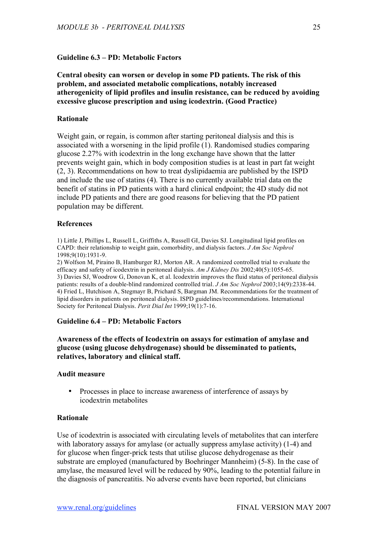# **Guideline 6.3 – PD: Metabolic Factors**

# **Central obesity can worsen or develop in some PD patients. The risk of this problem, and associated metabolic complications, notably increased atherogenicity of lipid profiles and insulin resistance, can be reduced by avoiding excessive glucose prescription and using icodextrin. (Good Practice)**

## **Rationale**

Weight gain, or regain, is common after starting peritoneal dialysis and this is associated with a worsening in the lipid profile (1). Randomised studies comparing glucose 2.27% with icodextrin in the long exchange have shown that the latter prevents weight gain, which in body composition studies is at least in part fat weight (2, 3). Recommendations on how to treat dyslipidaemia are published by the ISPD and include the use of statins (4). There is no currently available trial data on the benefit of statins in PD patients with a hard clinical endpoint; the 4D study did not include PD patients and there are good reasons for believing that the PD patient population may be different.

#### **References**

1) Little J, Phillips L, Russell L, Griffiths A, Russell GI, Davies SJ. Longitudinal lipid profiles on CAPD: their relationship to weight gain, comorbidity, and dialysis factors. *J Am Soc Nephrol* 1998;9(10):1931-9.

2) Wolfson M, Piraino B, Hamburger RJ, Morton AR. A randomized controlled trial to evaluate the efficacy and safety of icodextrin in peritoneal dialysis. *Am J Kidney Dis* 2002;40(5):1055-65. 3) Davies SJ, Woodrow G, Donovan K, et al. Icodextrin improves the fluid status of peritoneal dialysis patients: results of a double-blind randomized controlled trial. *J Am Soc Nephrol* 2003;14(9):2338-44. 4) Fried L, Hutchison A, Stegmayr B, Prichard S, Bargman JM. Recommendations for the treatment of lipid disorders in patients on peritoneal dialysis. ISPD guidelines/recommendations. International Society for Peritoneal Dialysis. *Perit Dial Int* 1999;19(1):7-16.

# **Guideline 6.4 – PD: Metabolic Factors**

**Awareness of the effects of Icodextrin on assays for estimation of amylase and glucose (using glucose dehydrogenase) should be disseminated to patients, relatives, laboratory and clinical staff.**

#### **Audit measure**

• Processes in place to increase awareness of interference of assays by icodextrin metabolites

### **Rationale**

Use of icodextrin is associated with circulating levels of metabolites that can interfere with laboratory assays for amylase (or actually suppress amylase activity) (1-4) and for glucose when finger-prick tests that utilise glucose dehydrogenase as their substrate are employed (manufactured by Boehringer Mannheim) (5-8). In the case of amylase, the measured level will be reduced by 90%, leading to the potential failure in the diagnosis of pancreatitis. No adverse events have been reported, but clinicians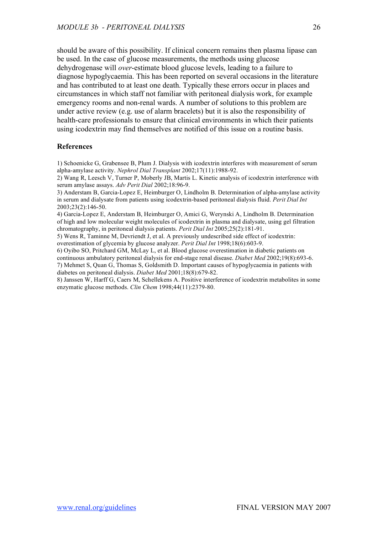should be aware of this possibility. If clinical concern remains then plasma lipase can be used. In the case of glucose measurements, the methods using glucose dehydrogenase will *over*-estimate blood glucose levels, leading to a failure to diagnose hypoglycaemia. This has been reported on several occasions in the literature and has contributed to at least one death. Typically these errors occur in places and circumstances in which staff not familiar with peritoneal dialysis work, for example emergency rooms and non-renal wards. A number of solutions to this problem are under active review (e.g. use of alarm bracelets) but it is also the responsibility of health-care professionals to ensure that clinical environments in which their patients using icodextrin may find themselves are notified of this issue on a routine basis.

### **References**

1) Schoenicke G, Grabensee B, Plum J. Dialysis with icodextrin interferes with measurement of serum alpha-amylase activity. *Nephrol Dial Transplant* 2002;17(11):1988-92.

2) Wang R, Leesch V, Turner P, Moberly JB, Martis L. Kinetic analysis of icodextrin interference with serum amylase assays. *Adv Perit Dial* 2002;18:96-9.

3) Anderstam B, Garcia-Lopez E, Heimburger O, Lindholm B. Determination of alpha-amylase activity in serum and dialysate from patients using icodextrin-based peritoneal dialysis fluid. *Perit Dial Int* 2003;23(2):146-50.

4) Garcia-Lopez E, Anderstam B, Heimburger O, Amici G, Werynski A, Lindholm B. Determination of high and low molecular weight molecules of icodextrin in plasma and dialysate, using gel filtration chromatography, in peritoneal dialysis patients. *Perit Dial Int* 2005;25(2):181-91.

5) Wens R, Taminne M, Devriendt J, et al. A previously undescribed side effect of icodextrin: overestimation of glycemia by glucose analyzer. *Perit Dial Int* 1998;18(6):603-9.

6) Oyibo SO, Pritchard GM, McLay L, et al. Blood glucose overestimation in diabetic patients on continuous ambulatory peritoneal dialysis for end-stage renal disease. *Diabet Med* 2002;19(8):693-6. 7) Mehmet S, Quan G, Thomas S, Goldsmith D. Important causes of hypoglycaemia in patients with

diabetes on peritoneal dialysis. *Diabet Med* 2001;18(8):679-82.

8) Janssen W, Harff G, Caers M, Schellekens A. Positive interference of icodextrin metabolites in some enzymatic glucose methods. *Clin Chem* 1998;44(11):2379-80.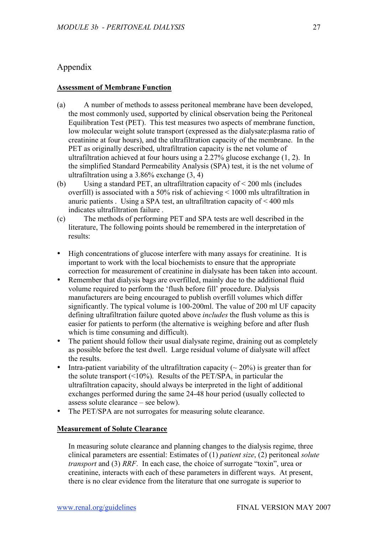# Appendix

# **Assessment of Membrane Function**

- (a) A number of methods to assess peritoneal membrane have been developed, the most commonly used, supported by clinical observation being the Peritoneal Equilibration Test (PET). This test measures two aspects of membrane function, low molecular weight solute transport (expressed as the dialysate:plasma ratio of creatinine at four hours), and the ultrafiltration capacity of the membrane. In the PET as originally described, ultrafiltration capacity is the net volume of ultrafiltration achieved at four hours using a 2.27% glucose exchange (1, 2). In the simplified Standard Permeability Analysis (SPA) test, it is the net volume of ultrafiltration using a 3.86% exchange (3, 4)
- (b) Using a standard PET, an ultrafiltration capacity of < 200 mls (includes overfill) is associated with a 50% risk of achieving < 1000 mls ultrafiltration in anuric patients . Using a SPA test, an ultrafiltration capacity of  $\leq 400$  mls indicates ultrafiltration failure .
- (c) The methods of performing PET and SPA tests are well described in the literature, The following points should be remembered in the interpretation of results:
- High concentrations of glucose interfere with many assays for creatinine. It is important to work with the local biochemists to ensure that the appropriate correction for measurement of creatinine in dialysate has been taken into account.
- Remember that dialysis bags are overfilled, mainly due to the additional fluid volume required to perform the 'flush before fill' procedure. Dialysis manufacturers are being encouraged to publish overfill volumes which differ significantly. The typical volume is 100-200ml. The value of 200 ml UF capacity defining ultrafiltration failure quoted above *includes* the flush volume as this is easier for patients to perform (the alternative is weighing before and after flush which is time consuming and difficult).
- The patient should follow their usual dialysate regime, draining out as completely as possible before the test dwell. Large residual volume of dialysate will affect the results.
- Intra-patient variability of the ultrafiltration capacity ( $\sim$  20%) is greater than for the solute transport  $(\leq 10\%)$ . Results of the PET/SPA, in particular the ultrafiltration capacity, should always be interpreted in the light of additional exchanges performed during the same 24-48 hour period (usually collected to assess solute clearance – see below).
- The PET/SPA are not surrogates for measuring solute clearance.

# **Measurement of Solute Clearance**

In measuring solute clearance and planning changes to the dialysis regime, three clinical parameters are essential: Estimates of (1) *patient size*, (2) peritoneal *solute transport* and (3) *RRF*. In each case, the choice of surrogate "toxin", urea or creatinine, interacts with each of these parameters in different ways. At present, there is no clear evidence from the literature that one surrogate is superior to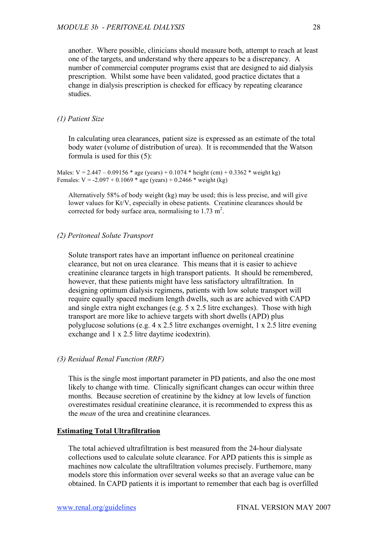another. Where possible, clinicians should measure both, attempt to reach at least one of the targets, and understand why there appears to be a discrepancy. A number of commercial computer programs exist that are designed to aid dialysis prescription. Whilst some have been validated, good practice dictates that a change in dialysis prescription is checked for efficacy by repeating clearance studies.

#### *(1) Patient Size*

In calculating urea clearances, patient size is expressed as an estimate of the total body water (volume of distribution of urea). It is recommended that the Watson formula is used for this (5):

Males:  $V = 2.447 - 0.09156 * age (years) + 0.1074 * height (cm) + 0.3362 * weight kg)$ Females:  $V = -2.097 + 0.1069 * age (years) + 0.2466 * weight (kg)$ 

Alternatively 58% of body weight (kg) may be used; this is less precise, and will give lower values for Kt/V, especially in obese patients. Creatinine clearances should be corrected for body surface area, normalising to  $1.73 \text{ m}^2$ .

### *(2) Peritoneal Solute Transport*

Solute transport rates have an important influence on peritoneal creatinine clearance, but not on urea clearance. This means that it is easier to achieve creatinine clearance targets in high transport patients. It should be remembered, however, that these patients might have less satisfactory ultrafiltration. In designing optimum dialysis regimens, patients with low solute transport will require equally spaced medium length dwells, such as are achieved with CAPD and single extra night exchanges (e.g. 5 x 2.5 litre exchanges). Those with high transport are more like to achieve targets with short dwells (APD) plus polyglucose solutions (e.g. 4 x 2.5 litre exchanges overnight, 1 x 2.5 litre evening exchange and 1 x 2.5 litre daytime icodextrin).

#### *(3) Residual Renal Function (RRF)*

This is the single most important parameter in PD patients, and also the one most likely to change with time. Clinically significant changes can occur within three months. Because secretion of creatinine by the kidney at low levels of function overestimates residual creatinine clearance, it is recommended to express this as the *mean* of the urea and creatinine clearances.

### **Estimating Total Ultrafiltration**

The total achieved ultrafiltration is best measured from the 24-hour dialysate collections used to calculate solute clearance. For APD patients this is simple as machines now calculate the ultrafiltration volumes precisely. Furthemore, many models store this information over several weeks so that an average value can be obtained. In CAPD patients it is important to remember that each bag is overfilled